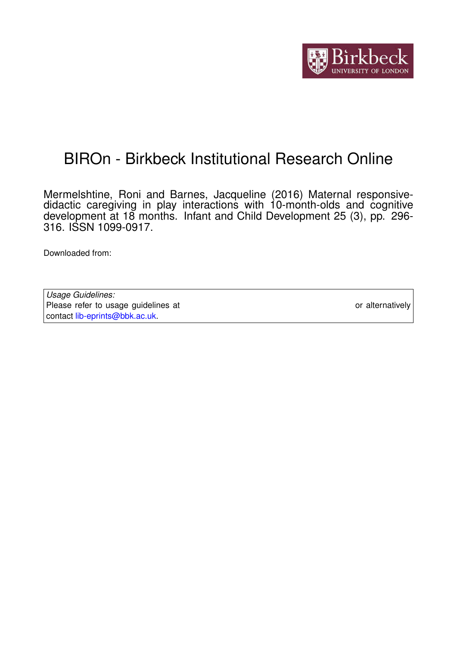

# BIROn - Birkbeck Institutional Research Online

Mermelshtine, Roni and Barnes, Jacqueline (2016) Maternal responsivedidactic caregiving in play interactions with 10-month-olds and cognitive development at 18 months. Infant and Child Development 25 (3), pp. 296- 316. ISSN 1099-0917.

Downloaded from: <https://eprints.bbk.ac.uk/id/eprint/14105/>

*Usage Guidelines:* Please refer to usage guidelines at <https://eprints.bbk.ac.uk/policies.html> or alternatively contact [lib-eprints@bbk.ac.uk.](mailto:lib-eprints@bbk.ac.uk)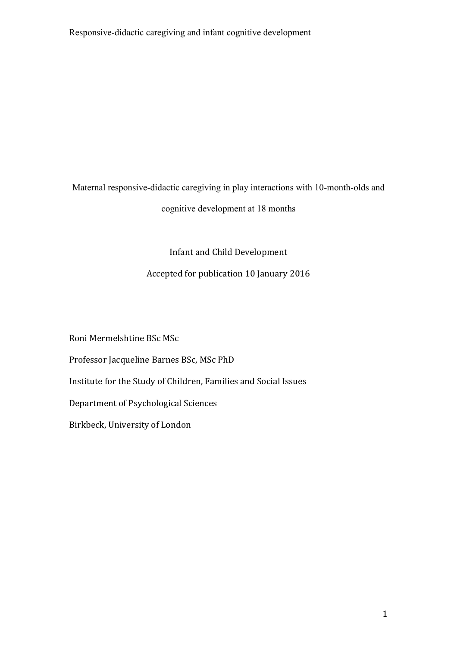Maternal responsive-didactic caregiving in play interactions with 10-month-olds and cognitive development at 18 months

Infant and Child Development

# Accepted for publication 10 January 2016

Roni Mermelshtine BSc MSc

Professor Jacqueline Barnes BSc, MSc PhD

Institute for the Study of Children, Families and Social Issues

Department of Psychological Sciences

Birkbeck, University of London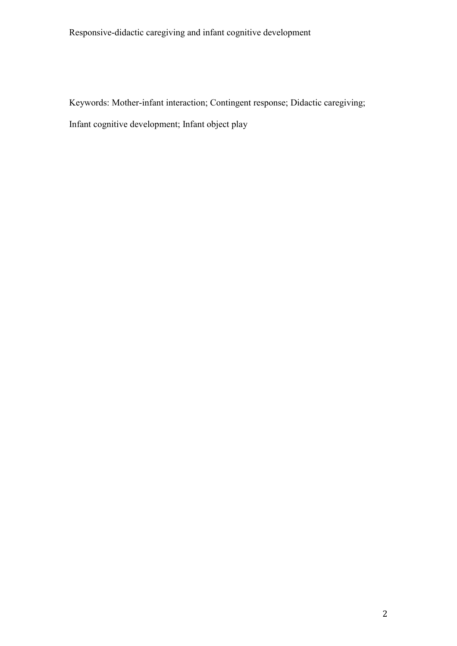Keywords: Mother-infant interaction; Contingent response; Didactic caregiving;

Infant cognitive development; Infant object play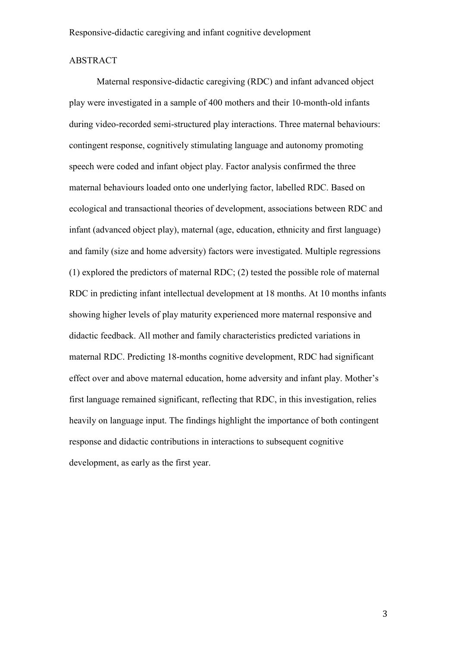#### ABSTRACT

Maternal responsive-didactic caregiving (RDC) and infant advanced object play were investigated in a sample of 400 mothers and their 10-month-old infants during video-recorded semi-structured play interactions. Three maternal behaviours: contingent response, cognitively stimulating language and autonomy promoting speech were coded and infant object play. Factor analysis confirmed the three maternal behaviours loaded onto one underlying factor, labelled RDC. Based on ecological and transactional theories of development, associations between RDC and infant (advanced object play), maternal (age, education, ethnicity and first language) and family (size and home adversity) factors were investigated. Multiple regressions (1) explored the predictors of maternal RDC; (2) tested the possible role of maternal RDC in predicting infant intellectual development at 18 months. At 10 months infants showing higher levels of play maturity experienced more maternal responsive and didactic feedback. All mother and family characteristics predicted variations in maternal RDC. Predicting 18-months cognitive development, RDC had significant effect over and above maternal education, home adversity and infant play. Mother's first language remained significant, reflecting that RDC, in this investigation, relies heavily on language input. The findings highlight the importance of both contingent response and didactic contributions in interactions to subsequent cognitive development, as early as the first year.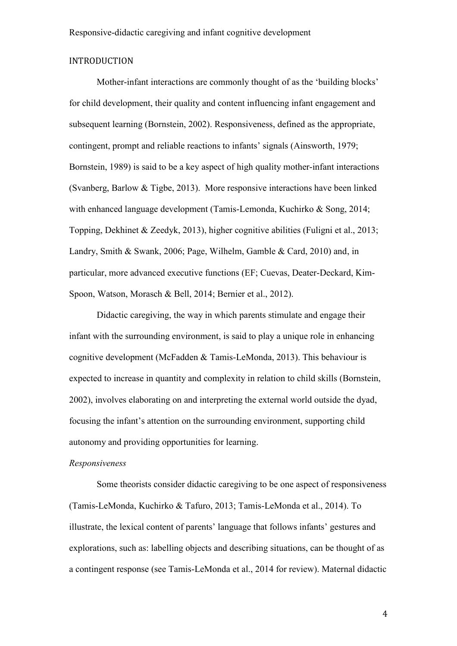# INTRODUCTION

Mother-infant interactions are commonly thought of as the 'building blocks' for child development, their quality and content influencing infant engagement and subsequent learning (Bornstein, 2002). Responsiveness, defined as the appropriate, contingent, prompt and reliable reactions to infants' signals (Ainsworth, 1979; Bornstein, 1989) is said to be a key aspect of high quality mother-infant interactions (Svanberg, Barlow & Tigbe, 2013). More responsive interactions have been linked with enhanced language development (Tamis-Lemonda, Kuchirko & Song, 2014; Topping, Dekhinet & Zeedyk, 2013), higher cognitive abilities (Fuligni et al., 2013; Landry, Smith & Swank, 2006; Page, Wilhelm, Gamble & Card, 2010) and, in particular, more advanced executive functions (EF; Cuevas, Deater-Deckard, Kim-Spoon, Watson, Morasch & Bell, 2014; Bernier et al., 2012).

Didactic caregiving, the way in which parents stimulate and engage their infant with the surrounding environment, is said to play a unique role in enhancing cognitive development (McFadden & Tamis-LeMonda, 2013). This behaviour is expected to increase in quantity and complexity in relation to child skills (Bornstein, 2002), involves elaborating on and interpreting the external world outside the dyad, focusing the infant's attention on the surrounding environment, supporting child autonomy and providing opportunities for learning.

#### *Responsiveness*

Some theorists consider didactic caregiving to be one aspect of responsiveness (Tamis-LeMonda, Kuchirko & Tafuro, 2013; Tamis-LeMonda et al., 2014). To illustrate, the lexical content of parents' language that follows infants' gestures and explorations, such as: labelling objects and describing situations, can be thought of as a contingent response (see Tamis-LeMonda et al., 2014 for review). Maternal didactic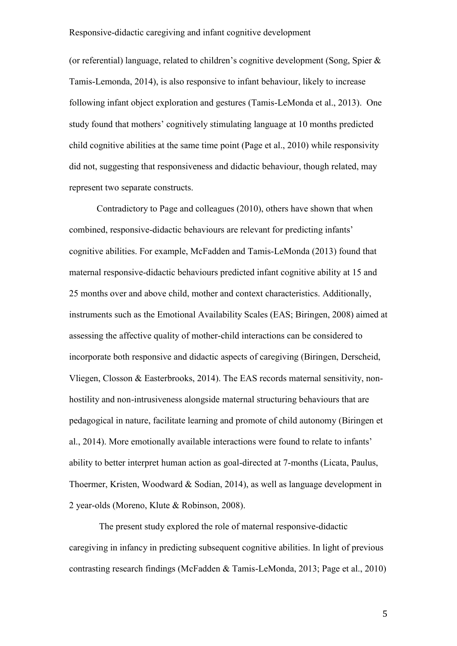(or referential) language, related to children's cognitive development (Song, Spier & Tamis-Lemonda, 2014), is also responsive to infant behaviour, likely to increase following infant object exploration and gestures (Tamis-LeMonda et al., 2013). One study found that mothers' cognitively stimulating language at 10 months predicted child cognitive abilities at the same time point (Page et al., 2010) while responsivity did not, suggesting that responsiveness and didactic behaviour, though related, may represent two separate constructs.

Contradictory to Page and colleagues (2010), others have shown that when combined, responsive-didactic behaviours are relevant for predicting infants' cognitive abilities. For example, McFadden and Tamis-LeMonda (2013) found that maternal responsive-didactic behaviours predicted infant cognitive ability at 15 and 25 months over and above child, mother and context characteristics. Additionally, instruments such as the Emotional Availability Scales (EAS; Biringen, 2008) aimed at assessing the affective quality of mother-child interactions can be considered to incorporate both responsive and didactic aspects of caregiving (Biringen, Derscheid, Vliegen, Closson & Easterbrooks, 2014). The EAS records maternal sensitivity, nonhostility and non-intrusiveness alongside maternal structuring behaviours that are pedagogical in nature, facilitate learning and promote of child autonomy (Biringen et al., 2014). More emotionally available interactions were found to relate to infants' ability to better interpret human action as goal-directed at 7-months (Licata, Paulus, Thoermer, Kristen, Woodward & Sodian, 2014), as well as language development in 2 year-olds (Moreno, Klute & Robinson, 2008).

The present study explored the role of maternal responsive-didactic caregiving in infancy in predicting subsequent cognitive abilities. In light of previous contrasting research findings (McFadden & Tamis-LeMonda, 2013; Page et al., 2010)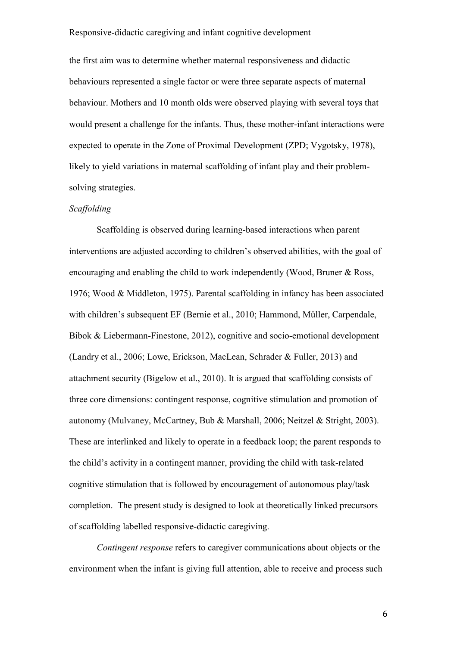the first aim was to determine whether maternal responsiveness and didactic behaviours represented a single factor or were three separate aspects of maternal behaviour. Mothers and 10 month olds were observed playing with several toys that would present a challenge for the infants. Thus, these mother-infant interactions were expected to operate in the Zone of Proximal Development (ZPD; Vygotsky, 1978), likely to yield variations in maternal scaffolding of infant play and their problemsolving strategies.

#### *Scaffolding*

Scaffolding is observed during learning-based interactions when parent interventions are adjusted according to children's observed abilities, with the goal of encouraging and enabling the child to work independently (Wood, Bruner & Ross, 1976; Wood & Middleton, 1975). Parental scaffolding in infancy has been associated with children's subsequent EF (Bernie et al., 2010; Hammond, Müller, Carpendale, Bibok & Liebermann-Finestone, 2012), cognitive and socio-emotional development (Landry et al., 2006; Lowe, Erickson, MacLean, Schrader & Fuller, 2013) and attachment security (Bigelow et al., 2010). It is argued that scaffolding consists of three core dimensions: contingent response, cognitive stimulation and promotion of autonomy (Mulvaney, McCartney, Bub & Marshall, 2006; Neitzel & Stright, 2003). These are interlinked and likely to operate in a feedback loop; the parent responds to the child's activity in a contingent manner, providing the child with task-related cognitive stimulation that is followed by encouragement of autonomous play/task completion. The present study is designed to look at theoretically linked precursors of scaffolding labelled responsive-didactic caregiving.

*Contingent response* refers to caregiver communications about objects or the environment when the infant is giving full attention, able to receive and process such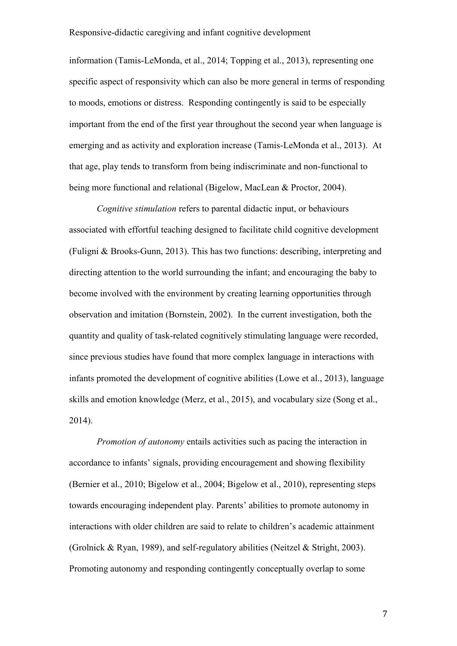information (Tamis-LeMonda, et al., 2014; Topping et al., 2013), representing one specific aspect of responsivity which can also be more general in terms of responding to moods, emotions or distress. Responding contingently is said to be especially important from the end of the first year throughout the second year when language is emerging and as activity and exploration increase (Tamis-LeMonda et al., 2013). At that age, play tends to transform from being indiscriminate and non-functional to being more functional and relational (Bigelow, MacLean & Proctor, 2004).

*Cognitive stimulation* refers to parental didactic input, or behaviours associated with effortful teaching designed to facilitate child cognitive development (Fuligni & Brooks-Gunn, 2013). This has two functions: describing, interpreting and directing attention to the world surrounding the infant; and encouraging the baby to become involved with the environment by creating learning opportunities through observation and imitation (Bornstein, 2002). In the current investigation, both the quantity and quality of task-related cognitively stimulating language were recorded, since previous studies have found that more complex language in interactions with infants promoted the development of cognitive abilities (Lowe et al., 2013), language skills and emotion knowledge (Merz, et al., 2015), and vocabulary size (Song et al., 2014).

*Promotion of autonomy* entails activities such as pacing the interaction in accordance to infants' signals, providing encouragement and showing flexibility (Bernier et al., 2010; Bigelow et al., 2004; Bigelow et al., 2010), representing steps towards encouraging independent play. Parents' abilities to promote autonomy in interactions with older children are said to relate to children's academic attainment (Grolnick & Ryan, 1989), and self-regulatory abilities (Neitzel & Stright, 2003). Promoting autonomy and responding contingently conceptually overlap to some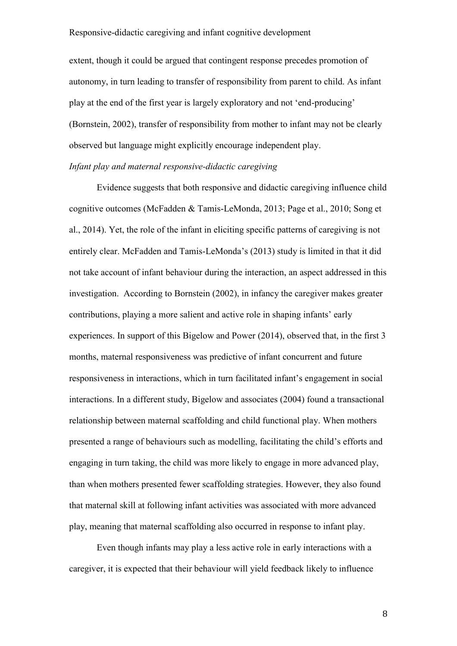extent, though it could be argued that contingent response precedes promotion of autonomy, in turn leading to transfer of responsibility from parent to child. As infant play at the end of the first year is largely exploratory and not 'end-producing' (Bornstein, 2002), transfer of responsibility from mother to infant may not be clearly observed but language might explicitly encourage independent play.

# *Infant play and maternal responsive-didactic caregiving*

Evidence suggests that both responsive and didactic caregiving influence child cognitive outcomes (McFadden & Tamis-LeMonda, 2013; Page et al., 2010; Song et al., 2014). Yet, the role of the infant in eliciting specific patterns of caregiving is not entirely clear. McFadden and Tamis-LeMonda's (2013) study is limited in that it did not take account of infant behaviour during the interaction, an aspect addressed in this investigation. According to Bornstein (2002), in infancy the caregiver makes greater contributions, playing a more salient and active role in shaping infants' early experiences. In support of this Bigelow and Power (2014), observed that, in the first 3 months, maternal responsiveness was predictive of infant concurrent and future responsiveness in interactions, which in turn facilitated infant's engagement in social interactions. In a different study, Bigelow and associates (2004) found a transactional relationship between maternal scaffolding and child functional play. When mothers presented a range of behaviours such as modelling, facilitating the child's efforts and engaging in turn taking, the child was more likely to engage in more advanced play, than when mothers presented fewer scaffolding strategies. However, they also found that maternal skill at following infant activities was associated with more advanced play, meaning that maternal scaffolding also occurred in response to infant play.

Even though infants may play a less active role in early interactions with a caregiver, it is expected that their behaviour will yield feedback likely to influence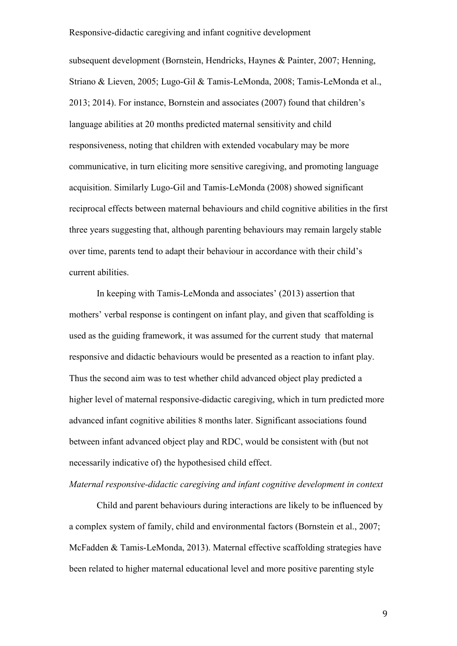subsequent development (Bornstein, Hendricks, Haynes & Painter, 2007; Henning, Striano & Lieven, 2005; Lugo-Gil & Tamis-LeMonda, 2008; Tamis-LeMonda et al., 2013; 2014). For instance, Bornstein and associates (2007) found that children's language abilities at 20 months predicted maternal sensitivity and child responsiveness, noting that children with extended vocabulary may be more communicative, in turn eliciting more sensitive caregiving, and promoting language acquisition. Similarly Lugo-Gil and Tamis-LeMonda (2008) showed significant reciprocal effects between maternal behaviours and child cognitive abilities in the first three years suggesting that, although parenting behaviours may remain largely stable over time, parents tend to adapt their behaviour in accordance with their child's current abilities.

In keeping with Tamis-LeMonda and associates' (2013) assertion that mothers' verbal response is contingent on infant play, and given that scaffolding is used as the guiding framework, it was assumed for the current study that maternal responsive and didactic behaviours would be presented as a reaction to infant play. Thus the second aim was to test whether child advanced object play predicted a higher level of maternal responsive-didactic caregiving, which in turn predicted more advanced infant cognitive abilities 8 months later. Significant associations found between infant advanced object play and RDC, would be consistent with (but not necessarily indicative of) the hypothesised child effect.

#### *Maternal responsive-didactic caregiving and infant cognitive development in context*

Child and parent behaviours during interactions are likely to be influenced by a complex system of family, child and environmental factors (Bornstein et al., 2007; McFadden & Tamis-LeMonda, 2013). Maternal effective scaffolding strategies have been related to higher maternal educational level and more positive parenting style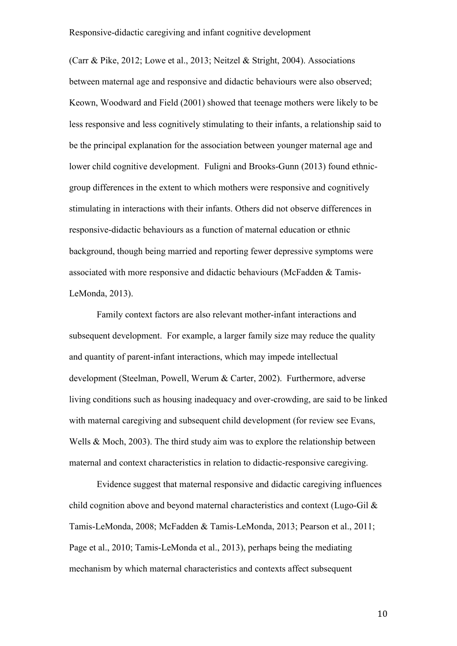(Carr & Pike, 2012; Lowe et al., 2013; Neitzel & Stright, 2004). Associations between maternal age and responsive and didactic behaviours were also observed; Keown, Woodward and Field (2001) showed that teenage mothers were likely to be less responsive and less cognitively stimulating to their infants, a relationship said to be the principal explanation for the association between younger maternal age and lower child cognitive development. Fuligni and Brooks-Gunn (2013) found ethnicgroup differences in the extent to which mothers were responsive and cognitively stimulating in interactions with their infants. Others did not observe differences in responsive-didactic behaviours as a function of maternal education or ethnic background, though being married and reporting fewer depressive symptoms were associated with more responsive and didactic behaviours (McFadden & Tamis-LeMonda, 2013).

Family context factors are also relevant mother-infant interactions and subsequent development. For example, a larger family size may reduce the quality and quantity of parent-infant interactions, which may impede intellectual development (Steelman, Powell, Werum & Carter, 2002). Furthermore, adverse living conditions such as housing inadequacy and over-crowding, are said to be linked with maternal caregiving and subsequent child development (for review see Evans, Wells & Moch, 2003). The third study aim was to explore the relationship between maternal and context characteristics in relation to didactic-responsive caregiving.

Evidence suggest that maternal responsive and didactic caregiving influences child cognition above and beyond maternal characteristics and context (Lugo-Gil & Tamis-LeMonda, 2008; McFadden & Tamis-LeMonda, 2013; Pearson et al., 2011; Page et al., 2010; Tamis-LeMonda et al., 2013), perhaps being the mediating mechanism by which maternal characteristics and contexts affect subsequent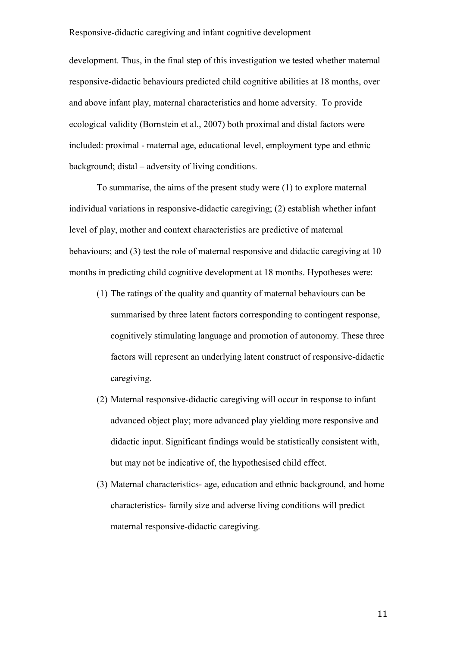development. Thus, in the final step of this investigation we tested whether maternal responsive-didactic behaviours predicted child cognitive abilities at 18 months, over and above infant play, maternal characteristics and home adversity. To provide ecological validity (Bornstein et al., 2007) both proximal and distal factors were included: proximal - maternal age, educational level, employment type and ethnic background; distal – adversity of living conditions.

To summarise, the aims of the present study were (1) to explore maternal individual variations in responsive-didactic caregiving; (2) establish whether infant level of play, mother and context characteristics are predictive of maternal behaviours; and (3) test the role of maternal responsive and didactic caregiving at 10 months in predicting child cognitive development at 18 months. Hypotheses were:

- (1) The ratings of the quality and quantity of maternal behaviours can be summarised by three latent factors corresponding to contingent response, cognitively stimulating language and promotion of autonomy. These three factors will represent an underlying latent construct of responsive-didactic caregiving.
- (2) Maternal responsive-didactic caregiving will occur in response to infant advanced object play; more advanced play yielding more responsive and didactic input. Significant findings would be statistically consistent with, but may not be indicative of, the hypothesised child effect.
- (3) Maternal characteristics- age, education and ethnic background, and home characteristics- family size and adverse living conditions will predict maternal responsive-didactic caregiving.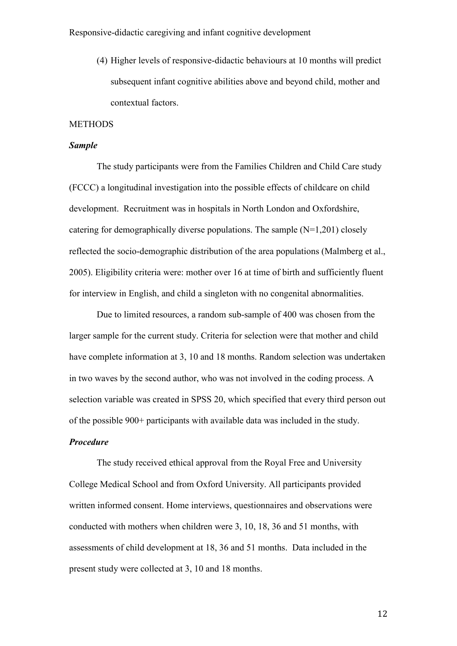(4) Higher levels of responsive-didactic behaviours at 10 months will predict subsequent infant cognitive abilities above and beyond child, mother and contextual factors.

#### **METHODS**

#### *Sample*

The study participants were from the Families Children and Child Care study (FCCC) a longitudinal investigation into the possible effects of childcare on child development. Recruitment was in hospitals in North London and Oxfordshire, catering for demographically diverse populations. The sample (N=1,201) closely reflected the socio-demographic distribution of the area populations (Malmberg et al., 2005). Eligibility criteria were: mother over 16 at time of birth and sufficiently fluent for interview in English, and child a singleton with no congenital abnormalities.

Due to limited resources, a random sub-sample of 400 was chosen from the larger sample for the current study. Criteria for selection were that mother and child have complete information at 3, 10 and 18 months. Random selection was undertaken in two waves by the second author, who was not involved in the coding process. A selection variable was created in SPSS 20, which specified that every third person out of the possible 900+ participants with available data was included in the study.

#### *Procedure*

The study received ethical approval from the Royal Free and University College Medical School and from Oxford University. All participants provided written informed consent. Home interviews, questionnaires and observations were conducted with mothers when children were 3, 10, 18, 36 and 51 months, with assessments of child development at 18, 36 and 51 months. Data included in the present study were collected at 3, 10 and 18 months.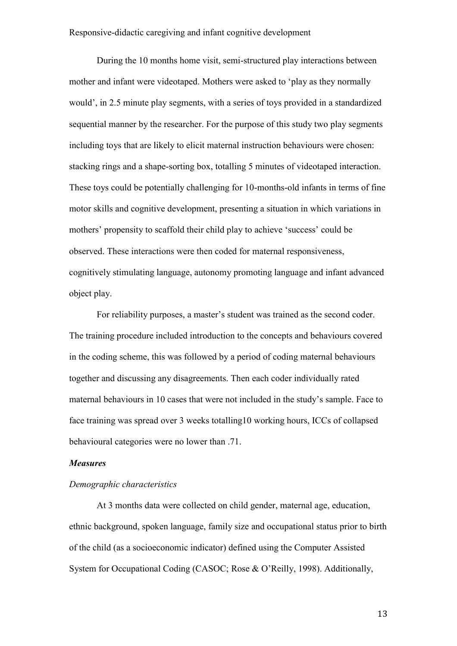During the 10 months home visit, semi-structured play interactions between mother and infant were videotaped. Mothers were asked to 'play as they normally would', in 2.5 minute play segments, with a series of toys provided in a standardized sequential manner by the researcher. For the purpose of this study two play segments including toys that are likely to elicit maternal instruction behaviours were chosen: stacking rings and a shape-sorting box, totalling 5 minutes of videotaped interaction. These toys could be potentially challenging for 10-months-old infants in terms of fine motor skills and cognitive development, presenting a situation in which variations in mothers' propensity to scaffold their child play to achieve 'success' could be observed. These interactions were then coded for maternal responsiveness, cognitively stimulating language, autonomy promoting language and infant advanced object play.

For reliability purposes, a master's student was trained as the second coder. The training procedure included introduction to the concepts and behaviours covered in the coding scheme, this was followed by a period of coding maternal behaviours together and discussing any disagreements. Then each coder individually rated maternal behaviours in 10 cases that were not included in the study's sample. Face to face training was spread over 3 weeks totalling10 working hours, ICCs of collapsed behavioural categories were no lower than .71.

#### *Measures*

# *Demographic characteristics*

At 3 months data were collected on child gender, maternal age, education, ethnic background, spoken language, family size and occupational status prior to birth of the child (as a socioeconomic indicator) defined using the Computer Assisted System for Occupational Coding (CASOC; Rose & O'Reilly, 1998). Additionally,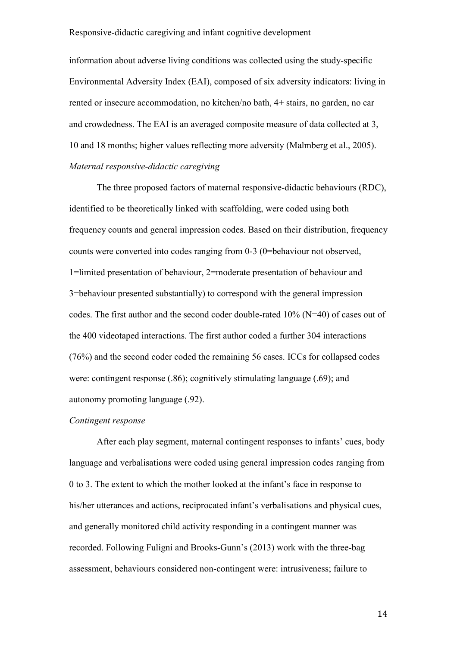information about adverse living conditions was collected using the study-specific Environmental Adversity Index (EAI), composed of six adversity indicators: living in rented or insecure accommodation, no kitchen/no bath, 4+ stairs, no garden, no car and crowdedness. The EAI is an averaged composite measure of data collected at 3, 10 and 18 months; higher values reflecting more adversity (Malmberg et al., 2005). *Maternal responsive-didactic caregiving* 

The three proposed factors of maternal responsive-didactic behaviours (RDC), identified to be theoretically linked with scaffolding, were coded using both frequency counts and general impression codes. Based on their distribution, frequency counts were converted into codes ranging from 0-3 (0=behaviour not observed, 1=limited presentation of behaviour, 2=moderate presentation of behaviour and 3=behaviour presented substantially) to correspond with the general impression codes. The first author and the second coder double-rated 10% (N=40) of cases out of the 400 videotaped interactions. The first author coded a further 304 interactions (76%) and the second coder coded the remaining 56 cases. ICCs for collapsed codes were: contingent response (.86); cognitively stimulating language (.69); and autonomy promoting language (.92).

#### *Contingent response*

After each play segment, maternal contingent responses to infants' cues, body language and verbalisations were coded using general impression codes ranging from 0 to 3. The extent to which the mother looked at the infant's face in response to his/her utterances and actions, reciprocated infant's verbalisations and physical cues, and generally monitored child activity responding in a contingent manner was recorded. Following Fuligni and Brooks-Gunn's (2013) work with the three-bag assessment, behaviours considered non-contingent were: intrusiveness; failure to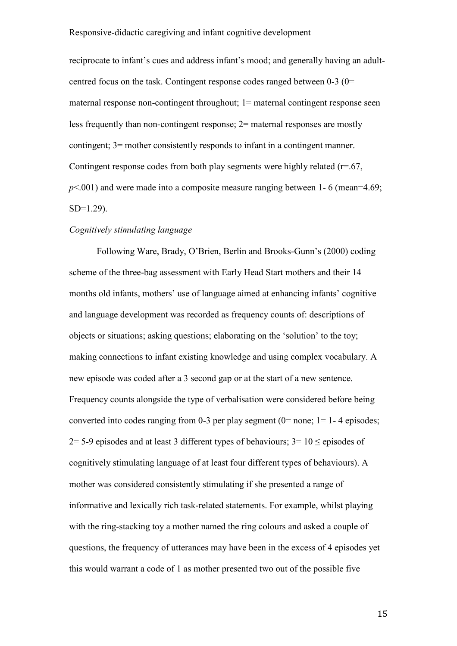reciprocate to infant's cues and address infant's mood; and generally having an adultcentred focus on the task. Contingent response codes ranged between 0-3 (0= maternal response non-contingent throughout; 1= maternal contingent response seen less frequently than non-contingent response; 2= maternal responses are mostly contingent; 3= mother consistently responds to infant in a contingent manner. Contingent response codes from both play segments were highly related  $(r=.67)$ , *p*<.001) and were made into a composite measure ranging between 1- 6 (mean=4.69; SD=1.29).

#### *Cognitively stimulating language*

Following Ware, Brady, O'Brien, Berlin and Brooks-Gunn's (2000) coding scheme of the three-bag assessment with Early Head Start mothers and their 14 months old infants, mothers' use of language aimed at enhancing infants' cognitive and language development was recorded as frequency counts of: descriptions of objects or situations; asking questions; elaborating on the 'solution' to the toy; making connections to infant existing knowledge and using complex vocabulary. A new episode was coded after a 3 second gap or at the start of a new sentence. Frequency counts alongside the type of verbalisation were considered before being converted into codes ranging from 0-3 per play segment ( $0=$  none; 1= 1-4 episodes; 2= 5-9 episodes and at least 3 different types of behaviours;  $3=10 \le$  episodes of cognitively stimulating language of at least four different types of behaviours). A mother was considered consistently stimulating if she presented a range of informative and lexically rich task-related statements. For example, whilst playing with the ring-stacking toy a mother named the ring colours and asked a couple of questions, the frequency of utterances may have been in the excess of 4 episodes yet this would warrant a code of 1 as mother presented two out of the possible five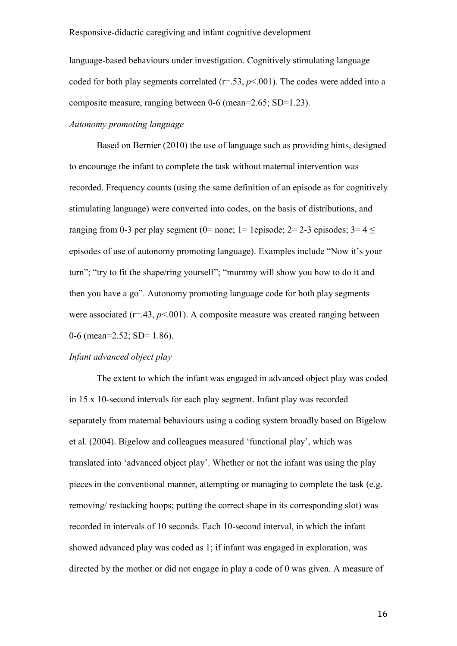language-based behaviours under investigation. Cognitively stimulating language coded for both play segments correlated  $(r=.53, p<.001)$ . The codes were added into a composite measure, ranging between 0-6 (mean=2.65; SD=1.23).

# *Autonomy promoting language*

Based on Bernier (2010) the use of language such as providing hints, designed to encourage the infant to complete the task without maternal intervention was recorded. Frequency counts (using the same definition of an episode as for cognitively stimulating language) were converted into codes, on the basis of distributions, and ranging from 0-3 per play segment (0= none; 1= 1episode; 2= 2-3 episodes; 3=  $4 \le$ episodes of use of autonomy promoting language). Examples include "Now it's your turn"; "try to fit the shape/ring yourself"; "mummy will show you how to do it and then you have a go". Autonomy promoting language code for both play segments were associated  $(r=43, p<0.01)$ . A composite measure was created ranging between 0-6 (mean=2.52; SD=  $1.86$ ).

# *Infant advanced object play*

The extent to which the infant was engaged in advanced object play was coded in 15 x 10-second intervals for each play segment. Infant play was recorded separately from maternal behaviours using a coding system broadly based on Bigelow et al. (2004). Bigelow and colleagues measured 'functional play', which was translated into 'advanced object play'. Whether or not the infant was using the play pieces in the conventional manner, attempting or managing to complete the task (e.g. removing/ restacking hoops; putting the correct shape in its corresponding slot) was recorded in intervals of 10 seconds. Each 10-second interval, in which the infant showed advanced play was coded as 1; if infant was engaged in exploration, was directed by the mother or did not engage in play a code of 0 was given. A measure of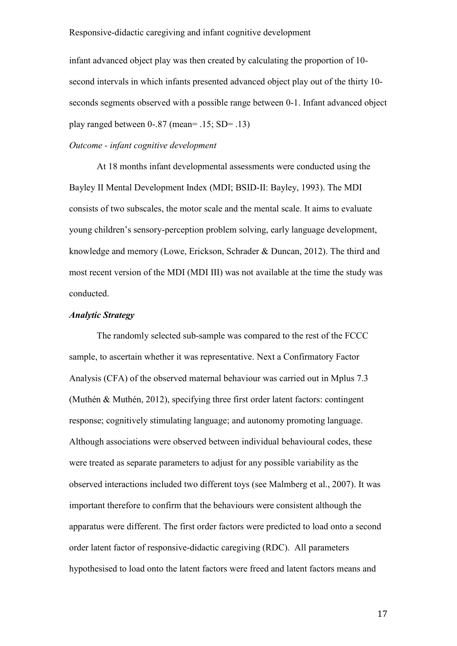infant advanced object play was then created by calculating the proportion of 10 second intervals in which infants presented advanced object play out of the thirty 10 seconds segments observed with a possible range between 0-1. Infant advanced object play ranged between  $0-0.87$  (mean=  $0.15$ ; SD=  $0.13$ )

# *Outcome - infant cognitive development*

At 18 months infant developmental assessments were conducted using the Bayley II Mental Development Index (MDI; BSID-II: Bayley, 1993). The MDI consists of two subscales, the motor scale and the mental scale. It aims to evaluate young children's sensory-perception problem solving, early language development, knowledge and memory (Lowe, Erickson, Schrader & Duncan, 2012). The third and most recent version of the MDI (MDI III) was not available at the time the study was conducted.

# *Analytic Strategy*

The randomly selected sub-sample was compared to the rest of the FCCC sample, to ascertain whether it was representative. Next a Confirmatory Factor Analysis (CFA) of the observed maternal behaviour was carried out in Mplus 7.3 (Muthén & Muthén, 2012), specifying three first order latent factors: contingent response; cognitively stimulating language; and autonomy promoting language. Although associations were observed between individual behavioural codes, these were treated as separate parameters to adjust for any possible variability as the observed interactions included two different toys (see Malmberg et al., 2007). It was important therefore to confirm that the behaviours were consistent although the apparatus were different. The first order factors were predicted to load onto a second order latent factor of responsive-didactic caregiving (RDC). All parameters hypothesised to load onto the latent factors were freed and latent factors means and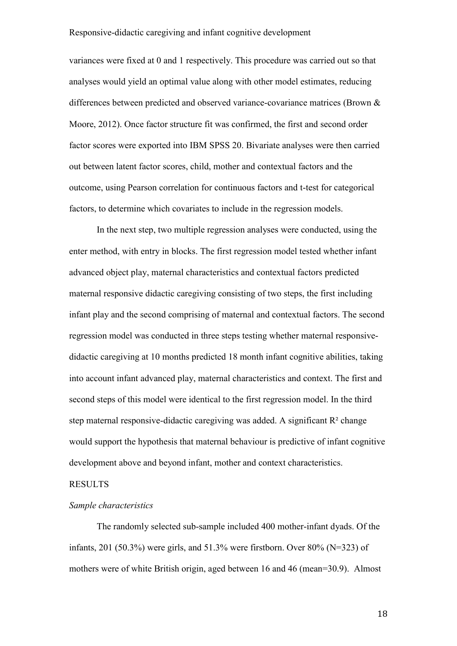variances were fixed at 0 and 1 respectively. This procedure was carried out so that analyses would yield an optimal value along with other model estimates, reducing differences between predicted and observed variance-covariance matrices (Brown & Moore, 2012). Once factor structure fit was confirmed, the first and second order factor scores were exported into IBM SPSS 20. Bivariate analyses were then carried out between latent factor scores, child, mother and contextual factors and the outcome, using Pearson correlation for continuous factors and t-test for categorical factors, to determine which covariates to include in the regression models.

In the next step, two multiple regression analyses were conducted, using the enter method, with entry in blocks. The first regression model tested whether infant advanced object play, maternal characteristics and contextual factors predicted maternal responsive didactic caregiving consisting of two steps, the first including infant play and the second comprising of maternal and contextual factors. The second regression model was conducted in three steps testing whether maternal responsivedidactic caregiving at 10 months predicted 18 month infant cognitive abilities, taking into account infant advanced play, maternal characteristics and context. The first and second steps of this model were identical to the first regression model. In the third step maternal responsive-didactic caregiving was added. A significant  $R<sup>2</sup>$  change would support the hypothesis that maternal behaviour is predictive of infant cognitive development above and beyond infant, mother and context characteristics.

# RESULTS

#### *Sample characteristics*

The randomly selected sub-sample included 400 mother-infant dyads. Of the infants, 201 (50.3%) were girls, and 51.3% were firstborn. Over 80% (N=323) of mothers were of white British origin, aged between 16 and 46 (mean=30.9). Almost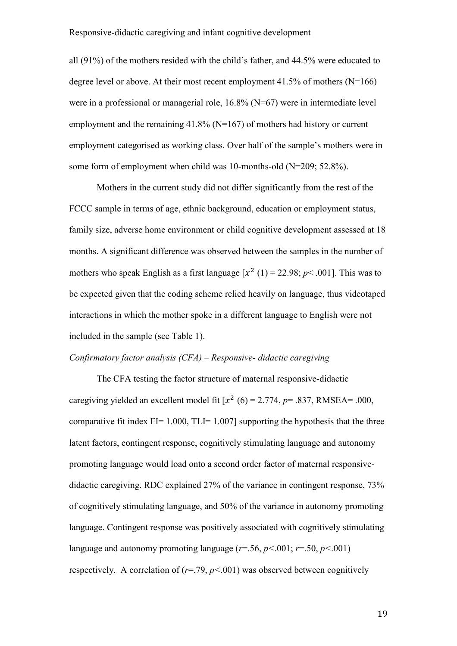all (91%) of the mothers resided with the child's father, and 44.5% were educated to degree level or above. At their most recent employment  $41.5\%$  of mothers (N=166) were in a professional or managerial role, 16.8% (N=67) were in intermediate level employment and the remaining 41.8% (N=167) of mothers had history or current employment categorised as working class. Over half of the sample's mothers were in some form of employment when child was 10-months-old (N=209; 52.8%).

Mothers in the current study did not differ significantly from the rest of the FCCC sample in terms of age, ethnic background, education or employment status, family size, adverse home environment or child cognitive development assessed at 18 months. A significant difference was observed between the samples in the number of mothers who speak English as a first language  $[x^2 (1) = 22.98; p < .001]$ . This was to be expected given that the coding scheme relied heavily on language, thus videotaped interactions in which the mother spoke in a different language to English were not included in the sample (see Table 1).

# *Confirmatory factor analysis (CFA) – Responsive- didactic caregiving*

The CFA testing the factor structure of maternal responsive-didactic caregiving yielded an excellent model fit  $[x^2 (6) = 2.774, p = .837, RMSEA = .000,$ comparative fit index FI= 1.000, TLI= 1.007] supporting the hypothesis that the three latent factors, contingent response, cognitively stimulating language and autonomy promoting language would load onto a second order factor of maternal responsivedidactic caregiving. RDC explained 27% of the variance in contingent response, 73% of cognitively stimulating language, and 50% of the variance in autonomy promoting language. Contingent response was positively associated with cognitively stimulating language and autonomy promoting language ( $r = .56$ ,  $p < .001$ ;  $r = .50$ ,  $p < .001$ ) respectively. A correlation of  $(r=79, p<.001)$  was observed between cognitively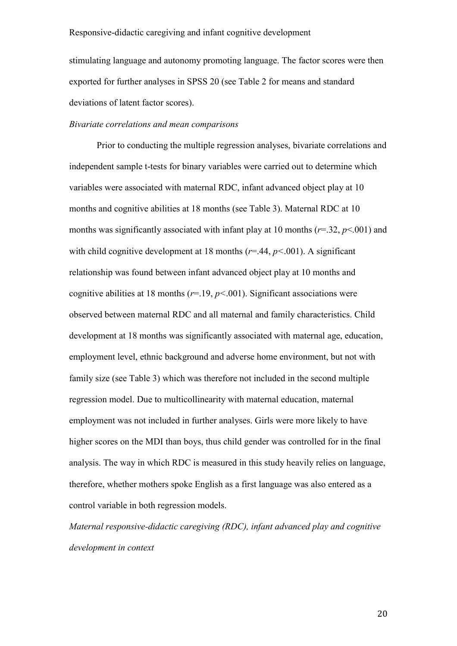stimulating language and autonomy promoting language. The factor scores were then exported for further analyses in SPSS 20 (see Table 2 for means and standard deviations of latent factor scores).

#### *Bivariate correlations and mean comparisons*

Prior to conducting the multiple regression analyses, bivariate correlations and independent sample t-tests for binary variables were carried out to determine which variables were associated with maternal RDC, infant advanced object play at 10 months and cognitive abilities at 18 months (see Table 3). Maternal RDC at 10 months was significantly associated with infant play at 10 months (*r*=.32, *p*<.001) and with child cognitive development at 18 months  $(r=44, p<0.01)$ . A significant relationship was found between infant advanced object play at 10 months and cognitive abilities at 18 months (*r*=.19, *p<*.001). Significant associations were observed between maternal RDC and all maternal and family characteristics. Child development at 18 months was significantly associated with maternal age, education, employment level, ethnic background and adverse home environment, but not with family size (see Table 3) which was therefore not included in the second multiple regression model. Due to multicollinearity with maternal education, maternal employment was not included in further analyses. Girls were more likely to have higher scores on the MDI than boys, thus child gender was controlled for in the final analysis. The way in which RDC is measured in this study heavily relies on language, therefore, whether mothers spoke English as a first language was also entered as a control variable in both regression models.

*Maternal responsive-didactic caregiving (RDC), infant advanced play and cognitive development in context*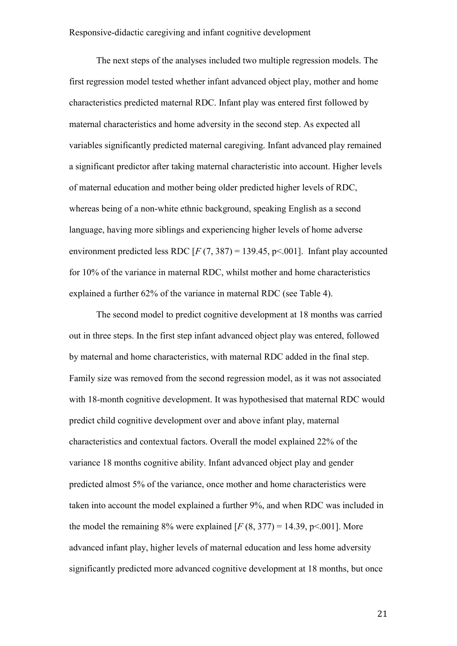The next steps of the analyses included two multiple regression models. The first regression model tested whether infant advanced object play, mother and home characteristics predicted maternal RDC. Infant play was entered first followed by maternal characteristics and home adversity in the second step. As expected all variables significantly predicted maternal caregiving. Infant advanced play remained a significant predictor after taking maternal characteristic into account. Higher levels of maternal education and mother being older predicted higher levels of RDC, whereas being of a non-white ethnic background, speaking English as a second language, having more siblings and experiencing higher levels of home adverse environment predicted less RDC  $[F (7, 387) = 139.45, p < .001]$ . Infant play accounted for 10% of the variance in maternal RDC, whilst mother and home characteristics explained a further 62% of the variance in maternal RDC (see Table 4).

The second model to predict cognitive development at 18 months was carried out in three steps. In the first step infant advanced object play was entered, followed by maternal and home characteristics, with maternal RDC added in the final step. Family size was removed from the second regression model, as it was not associated with 18-month cognitive development. It was hypothesised that maternal RDC would predict child cognitive development over and above infant play, maternal characteristics and contextual factors. Overall the model explained 22% of the variance 18 months cognitive ability. Infant advanced object play and gender predicted almost 5% of the variance, once mother and home characteristics were taken into account the model explained a further 9%, and when RDC was included in the model the remaining 8% were explained  $[F(8, 377) = 14.39, p \le 0.001]$ . More advanced infant play, higher levels of maternal education and less home adversity significantly predicted more advanced cognitive development at 18 months, but once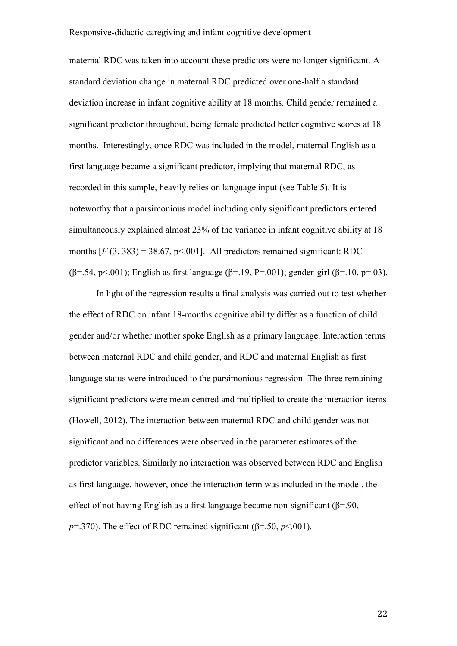maternal RDC was taken into account these predictors were no longer significant. A standard deviation change in maternal RDC predicted over one-half a standard deviation increase in infant cognitive ability at 18 months. Child gender remained a significant predictor throughout, being female predicted better cognitive scores at 18 months. Interestingly, once RDC was included in the model, maternal English as a first language became a significant predictor, implying that maternal RDC, as recorded in this sample, heavily relies on language input (see Table 5). It is noteworthy that a parsimonious model including only significant predictors entered simultaneously explained almost 23% of the variance in infant cognitive ability at 18 months  $[F(3, 383) = 38.67, p<0.001]$ . All predictors remained significant: RDC (β=.54, p<.001); English as first language (β=.19, P=.001); gender-girl (β=.10, p=.03).

In light of the regression results a final analysis was carried out to test whether the effect of RDC on infant 18-months cognitive ability differ as a function of child gender and/or whether mother spoke English as a primary language. Interaction terms between maternal RDC and child gender, and RDC and maternal English as first language status were introduced to the parsimonious regression. The three remaining significant predictors were mean centred and multiplied to create the interaction items (Howell, 2012). The interaction between maternal RDC and child gender was not significant and no differences were observed in the parameter estimates of the predictor variables. Similarly no interaction was observed between RDC and English as first language, however, once the interaction term was included in the model, the effect of not having English as a first language became non-significant ( $\beta$ =.90,  $p=370$ ). The effect of RDC remained significant ( $\beta=50, p<001$ ).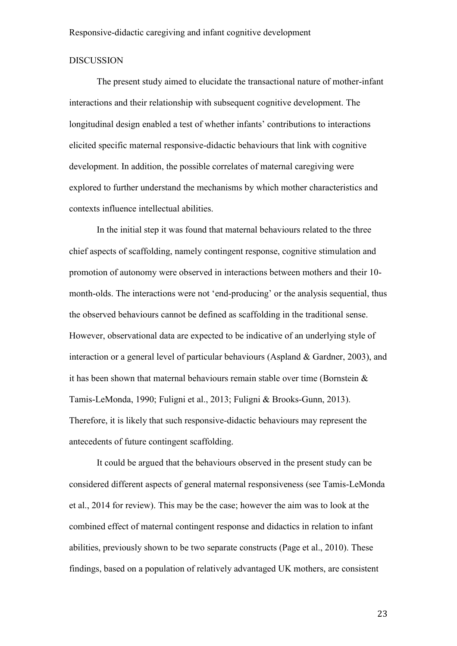#### DISCUSSION

The present study aimed to elucidate the transactional nature of mother-infant interactions and their relationship with subsequent cognitive development. The longitudinal design enabled a test of whether infants' contributions to interactions elicited specific maternal responsive-didactic behaviours that link with cognitive development. In addition, the possible correlates of maternal caregiving were explored to further understand the mechanisms by which mother characteristics and contexts influence intellectual abilities.

In the initial step it was found that maternal behaviours related to the three chief aspects of scaffolding, namely contingent response, cognitive stimulation and promotion of autonomy were observed in interactions between mothers and their 10 month-olds. The interactions were not 'end-producing' or the analysis sequential, thus the observed behaviours cannot be defined as scaffolding in the traditional sense. However, observational data are expected to be indicative of an underlying style of interaction or a general level of particular behaviours (Aspland & Gardner, 2003), and it has been shown that maternal behaviours remain stable over time (Bornstein  $\&$ Tamis-LeMonda, 1990; Fuligni et al., 2013; Fuligni & Brooks-Gunn, 2013). Therefore, it is likely that such responsive-didactic behaviours may represent the antecedents of future contingent scaffolding.

It could be argued that the behaviours observed in the present study can be considered different aspects of general maternal responsiveness (see Tamis-LeMonda et al., 2014 for review). This may be the case; however the aim was to look at the combined effect of maternal contingent response and didactics in relation to infant abilities, previously shown to be two separate constructs (Page et al., 2010). These findings, based on a population of relatively advantaged UK mothers, are consistent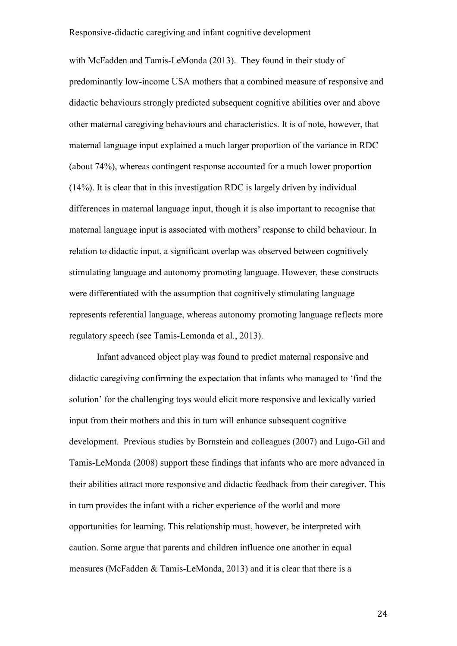with McFadden and Tamis-LeMonda (2013). They found in their study of predominantly low-income USA mothers that a combined measure of responsive and didactic behaviours strongly predicted subsequent cognitive abilities over and above other maternal caregiving behaviours and characteristics. It is of note, however, that maternal language input explained a much larger proportion of the variance in RDC (about 74%), whereas contingent response accounted for a much lower proportion (14%). It is clear that in this investigation RDC is largely driven by individual differences in maternal language input, though it is also important to recognise that maternal language input is associated with mothers' response to child behaviour. In relation to didactic input, a significant overlap was observed between cognitively stimulating language and autonomy promoting language. However, these constructs were differentiated with the assumption that cognitively stimulating language represents referential language, whereas autonomy promoting language reflects more regulatory speech (see Tamis-Lemonda et al., 2013).

Infant advanced object play was found to predict maternal responsive and didactic caregiving confirming the expectation that infants who managed to 'find the solution' for the challenging toys would elicit more responsive and lexically varied input from their mothers and this in turn will enhance subsequent cognitive development. Previous studies by Bornstein and colleagues (2007) and Lugo-Gil and Tamis-LeMonda (2008) support these findings that infants who are more advanced in their abilities attract more responsive and didactic feedback from their caregiver. This in turn provides the infant with a richer experience of the world and more opportunities for learning. This relationship must, however, be interpreted with caution. Some argue that parents and children influence one another in equal measures (McFadden & Tamis-LeMonda, 2013) and it is clear that there is a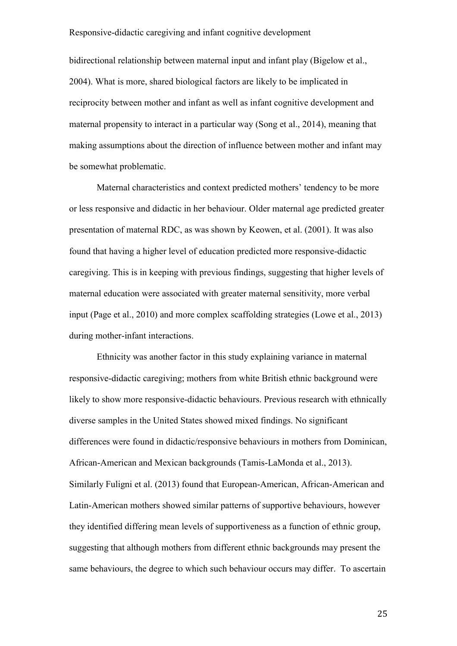bidirectional relationship between maternal input and infant play (Bigelow et al., 2004). What is more, shared biological factors are likely to be implicated in reciprocity between mother and infant as well as infant cognitive development and maternal propensity to interact in a particular way (Song et al., 2014), meaning that making assumptions about the direction of influence between mother and infant may be somewhat problematic.

Maternal characteristics and context predicted mothers' tendency to be more or less responsive and didactic in her behaviour. Older maternal age predicted greater presentation of maternal RDC, as was shown by Keowen, et al. (2001). It was also found that having a higher level of education predicted more responsive-didactic caregiving. This is in keeping with previous findings, suggesting that higher levels of maternal education were associated with greater maternal sensitivity, more verbal input (Page et al., 2010) and more complex scaffolding strategies (Lowe et al., 2013) during mother-infant interactions.

Ethnicity was another factor in this study explaining variance in maternal responsive-didactic caregiving; mothers from white British ethnic background were likely to show more responsive-didactic behaviours. Previous research with ethnically diverse samples in the United States showed mixed findings. No significant differences were found in didactic/responsive behaviours in mothers from Dominican, African-American and Mexican backgrounds (Tamis-LaMonda et al., 2013). Similarly Fuligni et al. (2013) found that European-American, African-American and Latin-American mothers showed similar patterns of supportive behaviours, however they identified differing mean levels of supportiveness as a function of ethnic group, suggesting that although mothers from different ethnic backgrounds may present the same behaviours, the degree to which such behaviour occurs may differ. To ascertain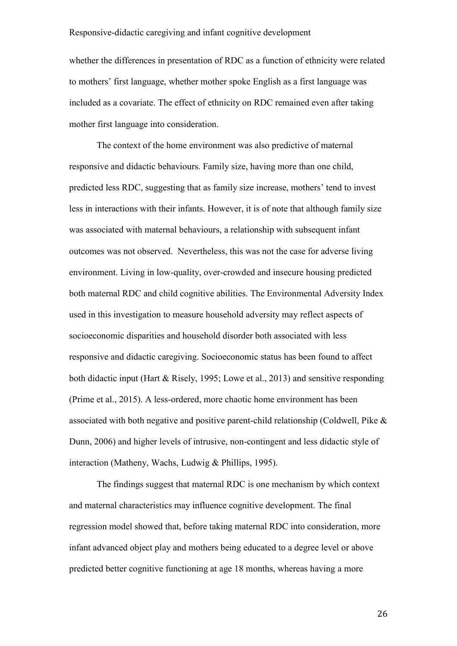whether the differences in presentation of RDC as a function of ethnicity were related to mothers' first language, whether mother spoke English as a first language was included as a covariate. The effect of ethnicity on RDC remained even after taking mother first language into consideration.

The context of the home environment was also predictive of maternal responsive and didactic behaviours. Family size, having more than one child, predicted less RDC, suggesting that as family size increase, mothers' tend to invest less in interactions with their infants. However, it is of note that although family size was associated with maternal behaviours, a relationship with subsequent infant outcomes was not observed. Nevertheless, this was not the case for adverse living environment. Living in low-quality, over-crowded and insecure housing predicted both maternal RDC and child cognitive abilities. The Environmental Adversity Index used in this investigation to measure household adversity may reflect aspects of socioeconomic disparities and household disorder both associated with less responsive and didactic caregiving. Socioeconomic status has been found to affect both didactic input (Hart & Risely, 1995; Lowe et al., 2013) and sensitive responding (Prime et al., 2015). A less-ordered, more chaotic home environment has been associated with both negative and positive parent-child relationship (Coldwell, Pike & Dunn, 2006) and higher levels of intrusive, non-contingent and less didactic style of interaction (Matheny, Wachs, Ludwig & Phillips, 1995).

The findings suggest that maternal RDC is one mechanism by which context and maternal characteristics may influence cognitive development. The final regression model showed that, before taking maternal RDC into consideration, more infant advanced object play and mothers being educated to a degree level or above predicted better cognitive functioning at age 18 months, whereas having a more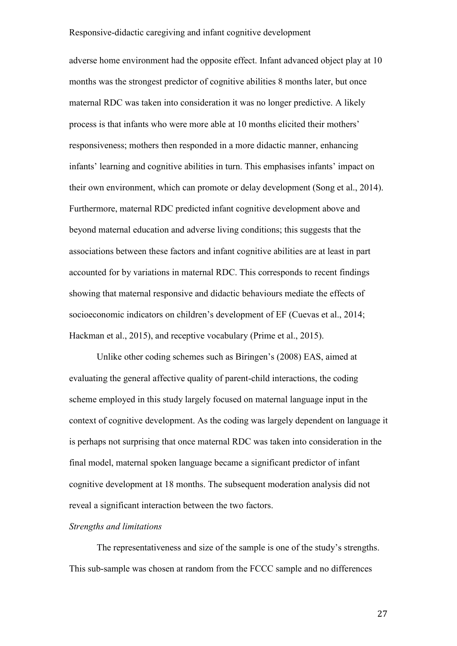adverse home environment had the opposite effect. Infant advanced object play at 10 months was the strongest predictor of cognitive abilities 8 months later, but once maternal RDC was taken into consideration it was no longer predictive. A likely process is that infants who were more able at 10 months elicited their mothers' responsiveness; mothers then responded in a more didactic manner, enhancing infants' learning and cognitive abilities in turn. This emphasises infants' impact on their own environment, which can promote or delay development (Song et al., 2014). Furthermore, maternal RDC predicted infant cognitive development above and beyond maternal education and adverse living conditions; this suggests that the associations between these factors and infant cognitive abilities are at least in part accounted for by variations in maternal RDC. This corresponds to recent findings showing that maternal responsive and didactic behaviours mediate the effects of socioeconomic indicators on children's development of EF (Cuevas et al., 2014; Hackman et al., 2015), and receptive vocabulary (Prime et al., 2015).

Unlike other coding schemes such as Biringen's (2008) EAS, aimed at evaluating the general affective quality of parent-child interactions, the coding scheme employed in this study largely focused on maternal language input in the context of cognitive development. As the coding was largely dependent on language it is perhaps not surprising that once maternal RDC was taken into consideration in the final model, maternal spoken language became a significant predictor of infant cognitive development at 18 months. The subsequent moderation analysis did not reveal a significant interaction between the two factors.

#### *Strengths and limitations*

The representativeness and size of the sample is one of the study's strengths. This sub-sample was chosen at random from the FCCC sample and no differences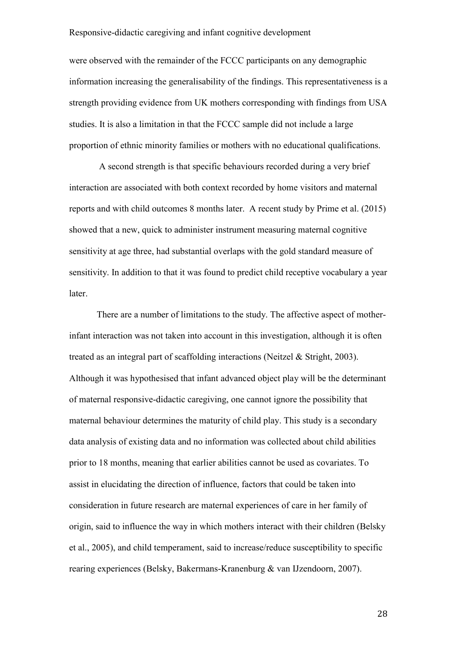were observed with the remainder of the FCCC participants on any demographic information increasing the generalisability of the findings. This representativeness is a strength providing evidence from UK mothers corresponding with findings from USA studies. It is also a limitation in that the FCCC sample did not include a large proportion of ethnic minority families or mothers with no educational qualifications.

A second strength is that specific behaviours recorded during a very brief interaction are associated with both context recorded by home visitors and maternal reports and with child outcomes 8 months later. A recent study by Prime et al. (2015) showed that a new, quick to administer instrument measuring maternal cognitive sensitivity at age three, had substantial overlaps with the gold standard measure of sensitivity. In addition to that it was found to predict child receptive vocabulary a year later.

There are a number of limitations to the study. The affective aspect of motherinfant interaction was not taken into account in this investigation, although it is often treated as an integral part of scaffolding interactions (Neitzel & Stright, 2003). Although it was hypothesised that infant advanced object play will be the determinant of maternal responsive-didactic caregiving, one cannot ignore the possibility that maternal behaviour determines the maturity of child play. This study is a secondary data analysis of existing data and no information was collected about child abilities prior to 18 months, meaning that earlier abilities cannot be used as covariates. To assist in elucidating the direction of influence, factors that could be taken into consideration in future research are maternal experiences of care in her family of origin, said to influence the way in which mothers interact with their children (Belsky et al., 2005), and child temperament, said to increase/reduce susceptibility to specific rearing experiences (Belsky, Bakermans-Kranenburg & van IJzendoorn, 2007).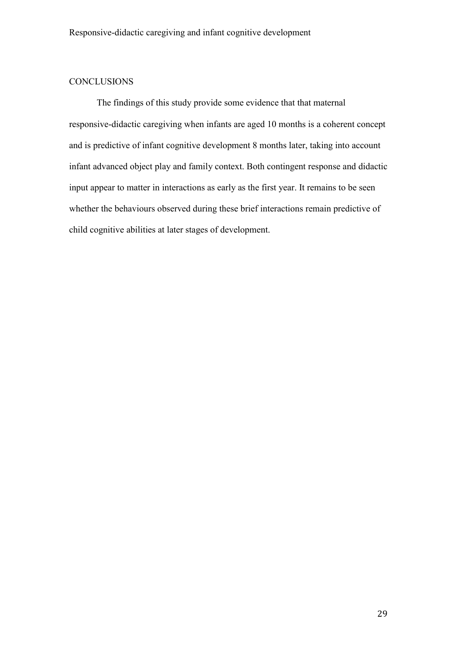# **CONCLUSIONS**

The findings of this study provide some evidence that that maternal responsive-didactic caregiving when infants are aged 10 months is a coherent concept and is predictive of infant cognitive development 8 months later, taking into account infant advanced object play and family context. Both contingent response and didactic input appear to matter in interactions as early as the first year. It remains to be seen whether the behaviours observed during these brief interactions remain predictive of child cognitive abilities at later stages of development.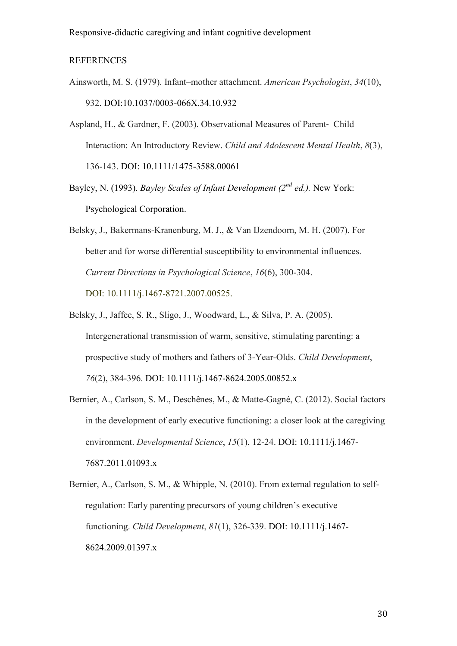#### **REFERENCES**

- Ainsworth, M. S. (1979). Infant–mother attachment. *American Psychologist*, *34*(10), 932. DOI:10.1037/0003-066X.34.10.932
- Aspland, H., & Gardner, F. (2003). Observational Measures of Parent‐ Child Interaction: An Introductory Review. *Child and Adolescent Mental Health*, *8*(3), 136-143. DOI: 10.1111/1475-3588.00061
- Bayley, N. (1993). *Bayley Scales of Infant Development (2nd ed.).* New York: Psychological Corporation.
- Belsky, J., Bakermans-Kranenburg, M. J., & Van IJzendoorn, M. H. (2007). For better and for worse differential susceptibility to environmental influences. *Current Directions in Psychological Science*, *16*(6), 300-304. DOI: 10.1111/j.1467-8721.2007.00525.
- Belsky, J., Jaffee, S. R., Sligo, J., Woodward, L., & Silva, P. A. (2005). Intergenerational transmission of warm, sensitive, stimulating parenting: a prospective study of mothers and fathers of 3-Year-Olds. *Child Development*, *76*(2), 384-396. DOI: 10.1111/j.1467-8624.2005.00852.x
- Bernier, A., Carlson, S. M., Deschênes, M., & Matte-Gagné, C. (2012). Social factors in the development of early executive functioning: a closer look at the caregiving environment. *Developmental Science*, *15*(1), 12-24. DOI: 10.1111/j.1467- 7687.2011.01093.x
- Bernier, A., Carlson, S. M., & Whipple, N. (2010). From external regulation to selfregulation: Early parenting precursors of young children's executive functioning. *Child Development*, *81*(1), 326-339. DOI: 10.1111/j.1467- 8624.2009.01397.x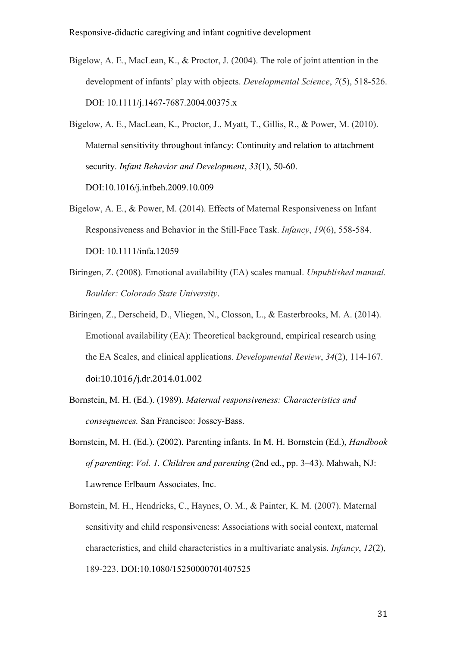- Bigelow, A. E., MacLean, K., & Proctor, J. (2004). The role of joint attention in the development of infants' play with objects. *Developmental Science*, *7*(5), 518-526. DOI: 10.1111/j.1467-7687.2004.00375.x
- Bigelow, A. E., MacLean, K., Proctor, J., Myatt, T., Gillis, R., & Power, M. (2010). Maternal sensitivity throughout infancy: Continuity and relation to attachment security. *Infant Behavior and Development*, *33*(1), 50-60. DOI:10.1016/j.infbeh.2009.10.009
- Bigelow, A. E., & Power, M. (2014). Effects of Maternal Responsiveness on Infant Responsiveness and Behavior in the Still-Face Task. *Infancy*, *19*(6), 558-584. DOI: 10.1111/infa.12059
- Biringen, Z. (2008). Emotional availability (EA) scales manual. *Unpublished manual. Boulder: Colorado State University*.
- Biringen, Z., Derscheid, D., Vliegen, N., Closson, L., & Easterbrooks, M. A. (2014). Emotional availability (EA): Theoretical background, empirical research using the EA Scales, and clinical applications. *Developmental Review*, *34*(2), 114-167. doi:10.1016/j.dr.2014.01.002
- Bornstein, M. H. (Ed.). (1989). *Maternal responsiveness: Characteristics and consequences.* San Francisco: Jossey-Bass.
- Bornstein, M. H. (Ed.). (2002). Parenting infants*.* In M. H. Bornstein (Ed.), *Handbook of parenting*: *Vol. 1. Children and parenting* (2nd ed., pp. 3–43). Mahwah, NJ: Lawrence Erlbaum Associates, Inc.
- Bornstein, M. H., Hendricks, C., Haynes, O. M., & Painter, K. M. (2007). Maternal sensitivity and child responsiveness: Associations with social context, maternal characteristics, and child characteristics in a multivariate analysis. *Infancy*, *12*(2), 189-223. DOI:10.1080/15250000701407525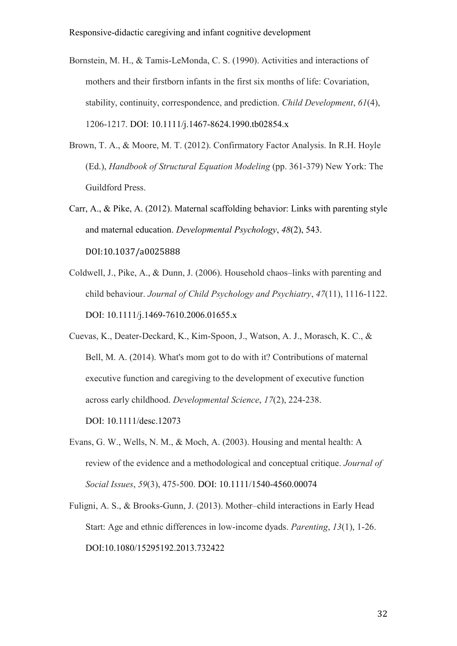- Bornstein, M. H., & Tamis-LeMonda, C. S. (1990). Activities and interactions of mothers and their firstborn infants in the first six months of life: Covariation, stability, continuity, correspondence, and prediction. *Child Development*, *61*(4), 1206-1217. DOI: 10.1111/j.1467-8624.1990.tb02854.x
- Brown, T. A., & Moore, M. T. (2012). Confirmatory Factor Analysis. In R.H. Hoyle (Ed.), *Handbook of Structural Equation Modeling* (pp. 361-379) New York: The Guildford Press.
- Carr, A., & Pike, A. (2012). Maternal scaffolding behavior: Links with parenting style and maternal education. *Developmental Psychology*, *48*(2), 543. DOI:10.1037/a0025888
- Coldwell, J., Pike, A., & Dunn, J. (2006). Household chaos–links with parenting and child behaviour. *Journal of Child Psychology and Psychiatry*, *47*(11), 1116-1122. DOI: 10.1111/j.1469-7610.2006.01655.x
- Cuevas, K., Deater-Deckard, K., Kim-Spoon, J., Watson, A. J., Morasch, K. C., & Bell, M. A. (2014). What's mom got to do with it? Contributions of maternal executive function and caregiving to the development of executive function across early childhood. *Developmental Science*, *17*(2), 224-238. DOI: 10.1111/desc.12073
- Evans, G. W., Wells, N. M., & Moch, A. (2003). Housing and mental health: A review of the evidence and a methodological and conceptual critique. *Journal of Social Issues*, *59*(3), 475-500. DOI: 10.1111/1540-4560.00074
- Fuligni, A. S., & Brooks-Gunn, J. (2013). Mother–child interactions in Early Head Start: Age and ethnic differences in low-income dyads. *Parenting*, *13*(1), 1-26. DOI:10.1080/15295192.2013.732422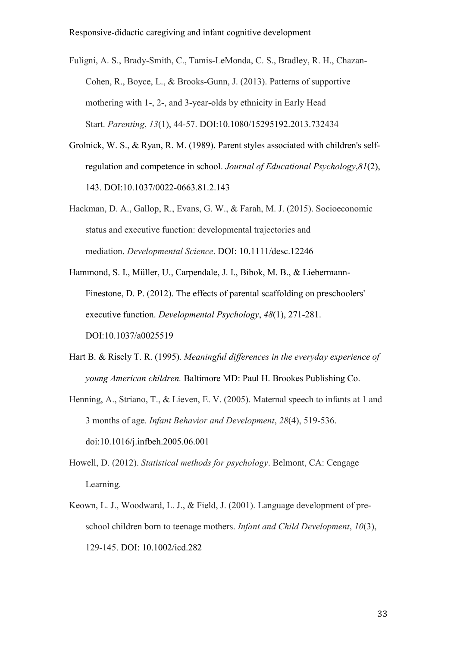Fuligni, A. S., Brady-Smith, C., Tamis-LeMonda, C. S., Bradley, R. H., Chazan-Cohen, R., Boyce, L., & Brooks-Gunn, J. (2013). Patterns of supportive mothering with 1-, 2-, and 3-year-olds by ethnicity in Early Head Start. *Parenting*, *13*(1), 44-57. DOI:10.1080/15295192.2013.732434

- Grolnick, W. S., & Ryan, R. M. (1989). Parent styles associated with children's selfregulation and competence in school. *Journal of Educational Psychology*,*81*(2), 143. DOI:10.1037/0022-0663.81.2.143
- Hackman, D. A., Gallop, R., Evans, G. W., & Farah, M. J. (2015). Socioeconomic status and executive function: developmental trajectories and mediation. *Developmental Science*. DOI: 10.1111/desc.12246
- Hammond, S. I., Müller, U., Carpendale, J. I., Bibok, M. B., & Liebermann-Finestone, D. P. (2012). The effects of parental scaffolding on preschoolers' executive function. *Developmental Psychology*, *48*(1), 271-281. DOI:10.1037/a0025519
- Hart B. & Risely T. R. (1995). *Meaningful differences in the everyday experience of young American children.* Baltimore MD: Paul H. Brookes Publishing Co.
- Henning, A., Striano, T., & Lieven, E. V. (2005). Maternal speech to infants at 1 and 3 months of age. *Infant Behavior and Development*, *28*(4), 519-536. doi:10.1016/j.infbeh.2005.06.001
- Howell, D. (2012). *Statistical methods for psychology*. Belmont, CA: Cengage Learning.
- Keown, L. J., Woodward, L. J., & Field, J. (2001). Language development of preschool children born to teenage mothers. *Infant and Child Development*, *10*(3), 129-145. DOI: 10.1002/icd.282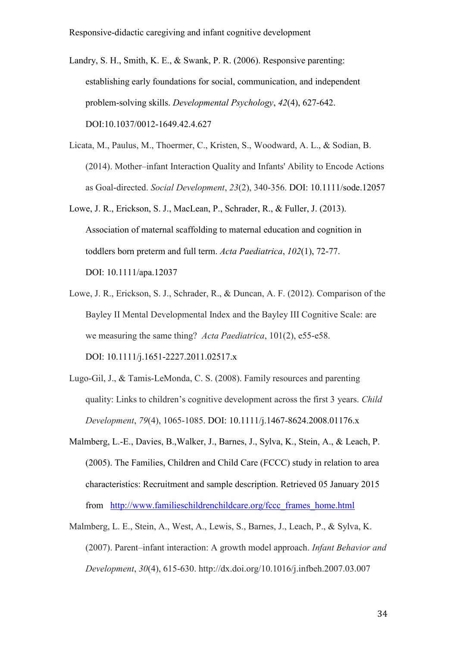- Landry, S. H., Smith, K. E., & Swank, P. R. (2006). Responsive parenting: establishing early foundations for social, communication, and independent problem-solving skills. *Developmental Psychology*, *42*(4), 627-642. DOI:10.1037/0012-1649.42.4.627
- Licata, M., Paulus, M., Thoermer, C., Kristen, S., Woodward, A. L., & Sodian, B. (2014). Mother–infant Interaction Quality and Infants' Ability to Encode Actions as Goal-directed. *Social Development*, *23*(2), 340-356. DOI: 10.1111/sode.12057
- Lowe, J. R., Erickson, S. J., MacLean, P., Schrader, R., & Fuller, J. (2013). Association of maternal scaffolding to maternal education and cognition in toddlers born preterm and full term. *Acta Paediatrica*, *102*(1), 72-77. DOI: 10.1111/apa.12037
- Lowe, J. R., Erickson, S. J., Schrader, R., & Duncan, A. F. (2012). Comparison of the Bayley II Mental Developmental Index and the Bayley III Cognitive Scale: are we measuring the same thing? *Acta Paediatrica*, 101(2), e55-e58. DOI: 10.1111/j.1651-2227.2011.02517.x
- Lugo-Gil, J., & Tamis-LeMonda, C. S. (2008). Family resources and parenting quality: Links to children's cognitive development across the first 3 years. *Child Development*, *79*(4), 1065-1085. DOI: 10.1111/j.1467-8624.2008.01176.x
- Malmberg, L.-E., Davies, B.,Walker, J., Barnes, J., Sylva, K., Stein, A., & Leach, P. (2005). The Families, Children and Child Care (FCCC) study in relation to area characteristics: Recruitment and sample description. Retrieved 05 January 2015 from http://www.familieschildrenchildcare.org/fccc frames home.html
- Malmberg, L. E., Stein, A., West, A., Lewis, S., Barnes, J., Leach, P., & Sylva, K. (2007). Parent–infant interaction: A growth model approach. *Infant Behavior and Development*, *30*(4), 615-630. http://dx.doi.org/10.1016/j.infbeh.2007.03.007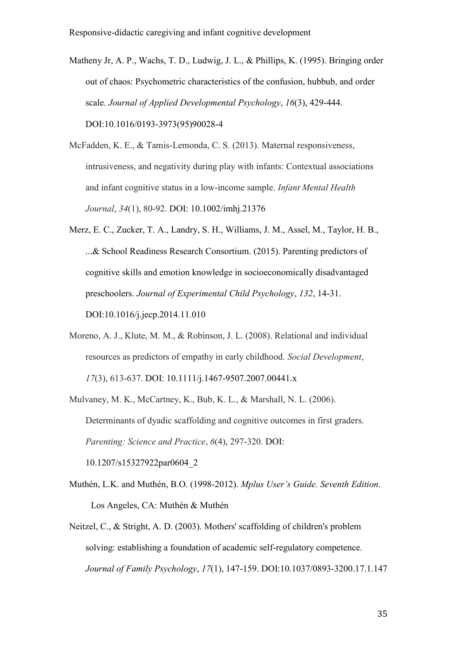- Matheny Jr, A. P., Wachs, T. D., Ludwig, J. L., & Phillips, K. (1995). Bringing order out of chaos: Psychometric characteristics of the confusion, hubbub, and order scale. *Journal of Applied Developmental Psychology*, *16*(3), 429-444. DOI:10.1016/0193-3973(95)90028-4
- McFadden, K. E., & Tamis-Lemonda, C. S. (2013). Maternal responsiveness, intrusiveness, and negativity during play with infants: Contextual associations and infant cognitive status in a low-income sample. *Infant Mental Health Journal*, *34*(1), 80-92. DOI: 10.1002/imhj.21376
- Merz, E. C., Zucker, T. A., Landry, S. H., Williams, J. M., Assel, M., Taylor, H. B., ...& School Readiness Research Consortium. (2015). Parenting predictors of cognitive skills and emotion knowledge in socioeconomically disadvantaged preschoolers. *Journal of Experimental Child Psychology*, *132*, 14-31. DOI:10.1016/j.jecp.2014.11.010
- Moreno, A. J., Klute, M. M., & Robinson, J. L. (2008). Relational and individual resources as predictors of empathy in early childhood. *Social Development*, *17*(3), 613-637. DOI: 10.1111/j.1467-9507.2007.00441.x
- Mulvaney, M. K., McCartney, K., Bub, K. L., & Marshall, N. L. (2006). Determinants of dyadic scaffolding and cognitive outcomes in first graders. *Parenting: Science and Practice*, *6*(4), 297-320. DOI: 10.1207/s15327922par0604\_2
- Muthén, L.K. and Muthén, B.O. (1998-2012). *Mplus User's Guide. Seventh Edition*. Los Angeles, CA: Muthén & Muthén
- Neitzel, C., & Stright, A. D. (2003). Mothers' scaffolding of children's problem solving: establishing a foundation of academic self-regulatory competence. *Journal of Family Psychology*, *17*(1), 147-159. DOI:10.1037/0893-3200.17.1.147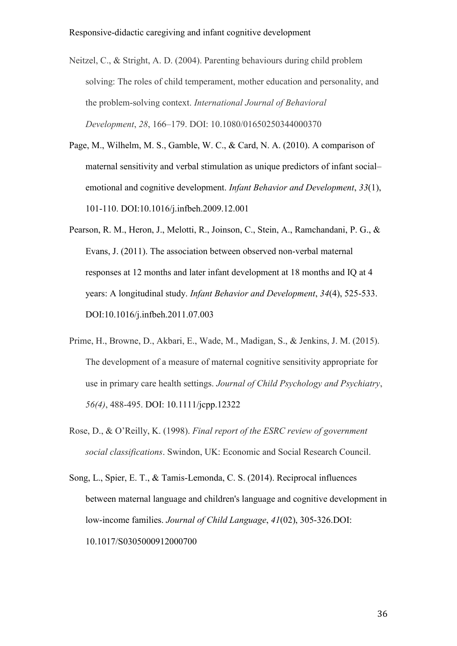- Neitzel, C., & Stright, A. D. (2004). Parenting behaviours during child problem solving: The roles of child temperament, mother education and personality, and the problem-solving context. *International Journal of Behavioral Development*, *28*, 166–179. DOI: 10.1080/01650250344000370
- Page, M., Wilhelm, M. S., Gamble, W. C., & Card, N. A. (2010). A comparison of maternal sensitivity and verbal stimulation as unique predictors of infant social– emotional and cognitive development. *Infant Behavior and Development*, *33*(1), 101-110. DOI:10.1016/j.infbeh.2009.12.001
- Pearson, R. M., Heron, J., Melotti, R., Joinson, C., Stein, A., Ramchandani, P. G., & Evans, J. (2011). The association between observed non-verbal maternal responses at 12 months and later infant development at 18 months and IQ at 4 years: A longitudinal study. *Infant Behavior and Development*, *34*(4), 525-533. DOI:10.1016/j.infbeh.2011.07.003
- Prime, H., Browne, D., Akbari, E., Wade, M., Madigan, S., & Jenkins, J. M. (2015). The development of a measure of maternal cognitive sensitivity appropriate for use in primary care health settings. *Journal of Child Psychology and Psychiatry*, *56(4)*, 488-495. DOI: 10.1111/jcpp.12322
- Rose, D., & O'Reilly, K. (1998). *Final report of the ESRC review of government social classifications*. Swindon, UK: Economic and Social Research Council.
- Song, L., Spier, E. T., & Tamis-Lemonda, C. S. (2014). Reciprocal influences between maternal language and children's language and cognitive development in low-income families. *Journal of Child Language*, *41*(02), 305-326.DOI: 10.1017/S0305000912000700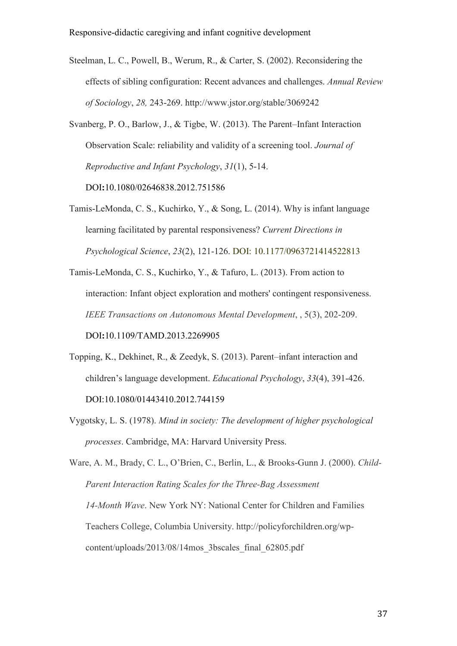- Steelman, L. C., Powell, B., Werum, R., & Carter, S. (2002). Reconsidering the effects of sibling configuration: Recent advances and challenges. *Annual Review of Sociology*, *28,* 243-269. http://www.jstor.org/stable/3069242
- Svanberg, P. O., Barlow, J., & Tigbe, W. (2013). The Parent–Infant Interaction Observation Scale: reliability and validity of a screening tool. *Journal of Reproductive and Infant Psychology*, *31*(1), 5-14.

DOI**:**10.1080/02646838.2012.751586

- Tamis-LeMonda, C. S., Kuchirko, Y., & Song, L. (2014). Why is infant language learning facilitated by parental responsiveness? *Current Directions in Psychological Science*, *23*(2), 121-126. DOI: 10.1177/0963721414522813
- Tamis-LeMonda, C. S., Kuchirko, Y., & Tafuro, L. (2013). From action to interaction: Infant object exploration and mothers' contingent responsiveness. *IEEE Transactions on Autonomous Mental Development*, , 5(3), 202-209.

DOI**:**[10.1109/TAMD.2013.2269905](http://dx.doi.org/10.1109/TAMD.2013.2269905)

- Topping, K., Dekhinet, R., & Zeedyk, S. (2013). Parent–infant interaction and children's language development. *Educational Psychology*, *33*(4), 391-426. DOI:10.1080/01443410.2012.744159
- Vygotsky, L. S. (1978). *Mind in society: The development of higher psychological processes*. Cambridge, MA: Harvard University Press.

Ware, A. M., Brady, C. L., O'Brien, C., Berlin, L., & Brooks-Gunn J. (2000). *Child-Parent Interaction Rating Scales for the Three-Bag Assessment 14-Month Wave*. New York NY: National Center for Children and Families Teachers College, Columbia University. http://policyforchildren.org/wpcontent/uploads/2013/08/14mos\_3bscales\_final\_62805.pdf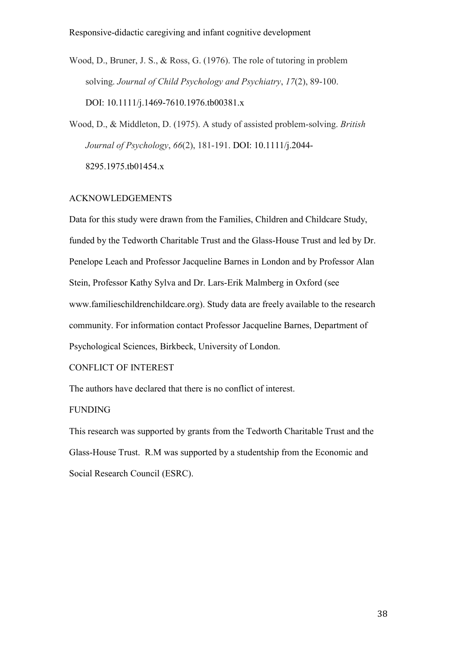Wood, D., Bruner, J. S., & Ross, G. (1976). The role of tutoring in problem solving. *Journal of Child Psychology and Psychiatry*, *17*(2), 89-100. DOI: 10.1111/j.1469-7610.1976.tb00381.x

Wood, D., & Middleton, D. (1975). A study of assisted problem-solving. *British Journal of Psychology*, *66*(2), 181-191. DOI: 10.1111/j.2044- 8295.1975.tb01454.x

# ACKNOWLEDGEMENTS

Data for this study were drawn from the Families, Children and Childcare Study, funded by the Tedworth Charitable Trust and the Glass-House Trust and led by Dr. Penelope Leach and Professor Jacqueline Barnes in London and by Professor Alan Stein, Professor Kathy Sylva and Dr. Lars-Erik Malmberg in Oxford (see www.familieschildrenchildcare.org). Study data are freely available to the research community. For information contact Professor Jacqueline Barnes, Department of Psychological Sciences, Birkbeck, University of London.

CONFLICT OF INTEREST

The authors have declared that there is no conflict of interest.

## FUNDING

This research was supported by grants from the Tedworth Charitable Trust and the Glass-House Trust. R.M was supported by a studentship from the Economic and Social Research Council (ESRC).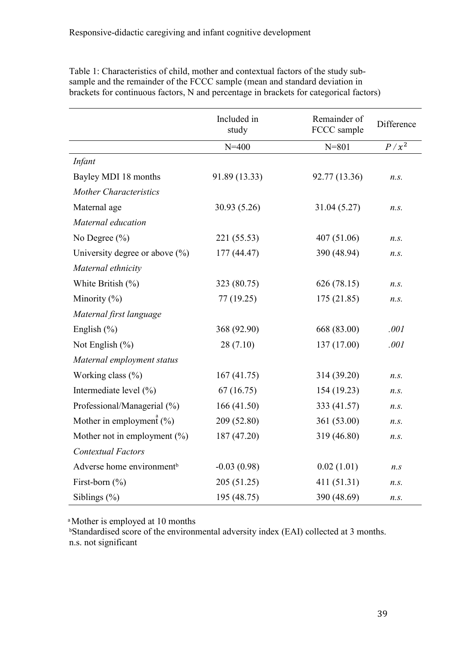|                                       | Included in<br>study | Remainder of<br>FCCC sample | Difference    |
|---------------------------------------|----------------------|-----------------------------|---------------|
|                                       | $N = 400$            | $N = 801$                   | $P / x^2$     |
| Infant                                |                      |                             |               |
| Bayley MDI 18 months                  | 91.89 (13.33)        | 92.77 (13.36)               | $n_{\rm s}$ . |
| <b>Mother Characteristics</b>         |                      |                             |               |
| Maternal age                          | 30.93 (5.26)         | 31.04 (5.27)                | $n_{\rm s}$ . |
| Maternal education                    |                      |                             |               |
| No Degree $(\% )$                     | 221 (55.53)          | 407 (51.06)                 | $n_{\rm s}$ . |
| University degree or above $(\% )$    | 177 (44.47)          | 390 (48.94)                 | n.s.          |
| Maternal ethnicity                    |                      |                             |               |
| White British $(\%)$                  | 323 (80.75)          | 626 (78.15)                 | n.s.          |
| Minority $(\% )$                      | 77 (19.25)           | 175(21.85)                  | n.s.          |
| Maternal first language               |                      |                             |               |
| English $(\% )$                       | 368 (92.90)          | 668 (83.00)                 | .001          |
| Not English $(\% )$                   | 28(7.10)             | 137 (17.00)                 | .001          |
| Maternal employment status            |                      |                             |               |
| Working class (%)                     | 167(41.75)           | 314 (39.20)                 | n.s.          |
| Intermediate level (%)                | 67(16.75)            | 154 (19.23)                 | $n_{\rm s}$ . |
| Professional/Managerial (%)           | 166(41.50)           | 333 (41.57)                 | n.s.          |
| Mother in employment $(\%)$           | 209 (52.80)          | 361 (53.00)                 | n.s.          |
| Mother not in employment $(\% )$      | 187 (47.20)          | 319 (46.80)                 | n.s.          |
| <b>Contextual Factors</b>             |                      |                             |               |
| Adverse home environment <sup>b</sup> | $-0.03(0.98)$        | 0.02(1.01)                  | $n_{\rm s}$   |
| First-born $(\% )$                    | 205 (51.25)          | 411 (51.31)                 | n.s.          |
| Siblings $(\% )$                      | 195 (48.75)          | 390 (48.69)                 | n.s.          |

Table 1: Characteristics of child, mother and contextual factors of the study subsample and the remainder of the FCCC sample (mean and standard deviation in brackets for continuous factors, N and percentage in brackets for categorical factors)

<sup>a</sup>Mother is employed at 10 months

<sup>b</sup>Standardised score of the environmental adversity index (EAI) collected at 3 months. n.s. not significant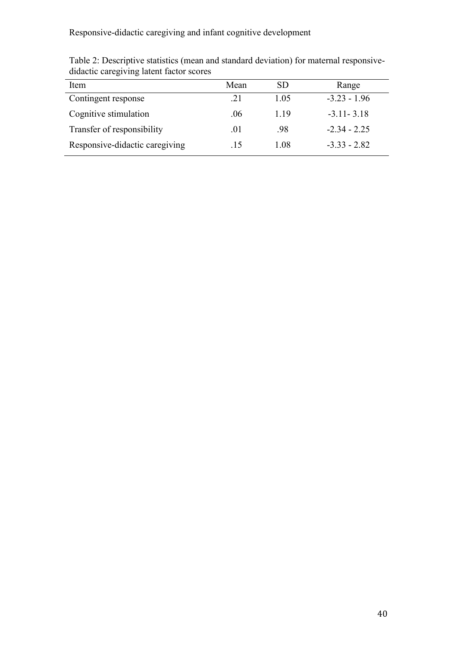| Item                           | Mean | SD.  | Range          |
|--------------------------------|------|------|----------------|
| Contingent response            | .21  | 1 05 | $-3.23 - 1.96$ |
| Cognitive stimulation          | .06  | 119  | $-3.11 - 3.18$ |
| Transfer of responsibility     | .01  | -98  | $-2.34 - 2.25$ |
| Responsive-didactic caregiving | .15  | 1 08 | $-3.33 - 2.82$ |

Table 2: Descriptive statistics (mean and standard deviation) for maternal responsivedidactic caregiving latent factor scores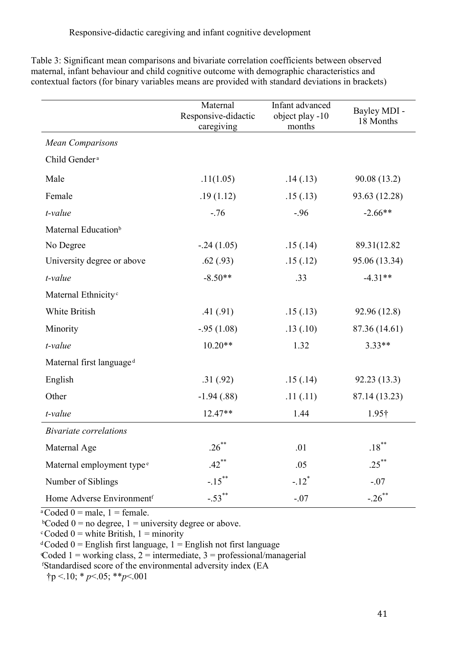|                                       | Maternal<br>Responsive-didactic<br>caregiving | Infant advanced<br>object play -10<br>months | Bayley MDI -<br>18 Months |
|---------------------------------------|-----------------------------------------------|----------------------------------------------|---------------------------|
| <b>Mean Comparisons</b>               |                                               |                                              |                           |
| Child Gender <sup>a</sup>             |                                               |                                              |                           |
| Male                                  | .11(1.05)                                     | .14(.13)                                     | 90.08 (13.2)              |
| Female                                | .19(1.12)                                     | .15(.13)                                     | 93.63 (12.28)             |
| t-value                               | $-76$                                         | $-.96$                                       | $-2.66**$                 |
| Maternal Education <sup>b</sup>       |                                               |                                              |                           |
| No Degree                             | $-.24(1.05)$                                  | .15(.14)                                     | 89.31(12.82)              |
| University degree or above            | .62(.93)                                      | .15(.12)                                     | 95.06 (13.34)             |
| t-value                               | $-8.50**$                                     | .33                                          | $-4.31**$                 |
| Maternal Ethnicity <sup>c</sup>       |                                               |                                              |                           |
| White British                         | .41(.91)                                      | .15(.13)                                     | 92.96 (12.8)              |
| Minority                              | $-.95(1.08)$                                  | .13(.10)                                     | 87.36 (14.61)             |
| t-value                               | $10.20**$                                     | 1.32                                         | $3.33**$                  |
| Maternal first language <sup>d</sup>  |                                               |                                              |                           |
| English                               | .31(.92)                                      | .15(.14)                                     | 92.23 (13.3)              |
| Other                                 | $-1.94(0.88)$                                 | .11(.11)                                     | 87.14 (13.23)             |
| t-value                               | 12.47**                                       | 1.44                                         | 1.95†                     |
| <b>Bivariate correlations</b>         |                                               |                                              |                           |
| Maternal Age                          | $.26***$                                      | .01                                          | $.18$ $^{**}$             |
| Maternal employment type <sup>e</sup> | $.42***$                                      | .05                                          | $.25***$                  |
| Number of Siblings                    | $-.15***$                                     | $-.12$ <sup>*</sup>                          | $-.07$                    |
| Home Adverse Environmentf             | $-.53$ <sup>**</sup>                          | $-.07$                                       | $-.26$ **                 |

Table 3: Significant mean comparisons and bivariate correlation coefficients between observed maternal, infant behaviour and child cognitive outcome with demographic characteristics and contextual factors (for binary variables means are provided with standard deviations in brackets)

 $\sqrt[3]{\text{coded } 0}$  = male, 1 = female.

 $b$ Coded 0 = no degree, 1 = university degree or above.

 $c$ Coded 0 = white British, 1 = minority

 $C$ oded  $0$  = English first language,  $1$  = English not first language

Coded 1 = working class,  $2$  = intermediate,  $3$  = professional/managerial

ᶠStandardised score of the environmental adversity index (EA

 $\uparrow p$  <.10; \* *p* <.05; \*\**p* <.001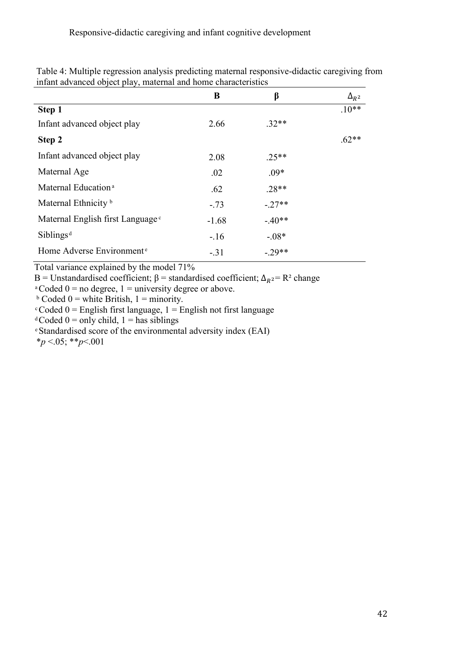|                                              | B       | β       | $\Delta_{R^2}$ |
|----------------------------------------------|---------|---------|----------------|
| Step 1                                       |         |         | $.10**$        |
| Infant advanced object play                  | 2.66    | $.32**$ |                |
| Step 2                                       |         |         | $.62**$        |
| Infant advanced object play                  | 2.08    | $.25**$ |                |
| Maternal Age                                 | .02     | $.09*$  |                |
| Maternal Education <sup>a</sup>              | .62     | $.28**$ |                |
| Maternal Ethnicity <sup>b</sup>              | $-.73$  | $-27**$ |                |
| Maternal English first Language <sup>c</sup> | $-1.68$ | $-40**$ |                |
| Sibling <sub>d</sub>                         | $-.16$  | $-.08*$ |                |
| Home Adverse Environment <sup>e</sup>        | $-.31$  | $-29**$ |                |

Table 4: Multiple regression analysis predicting maternal responsive-didactic caregiving from infant advanced object play, maternal and home characteristics

Total variance explained by the model 71%

B = Unstandardised coefficient;  $\beta$  = standardised coefficient;  $\Delta_{R}^2$  = R<sup>2</sup> change

 $\degree$ Coded 0 = no degree, 1 = university degree or above.

 $\text{b}$  Coded 0 = white British, 1 = minority.

 $c$ Coded 0 = English first language, 1 = English not first language

<sup>d</sup>Coded 0 = only child, 1 = has siblings

ͤStandardised score of the environmental adversity index (EAI)

\**p* <.05; \*\**p*<.001